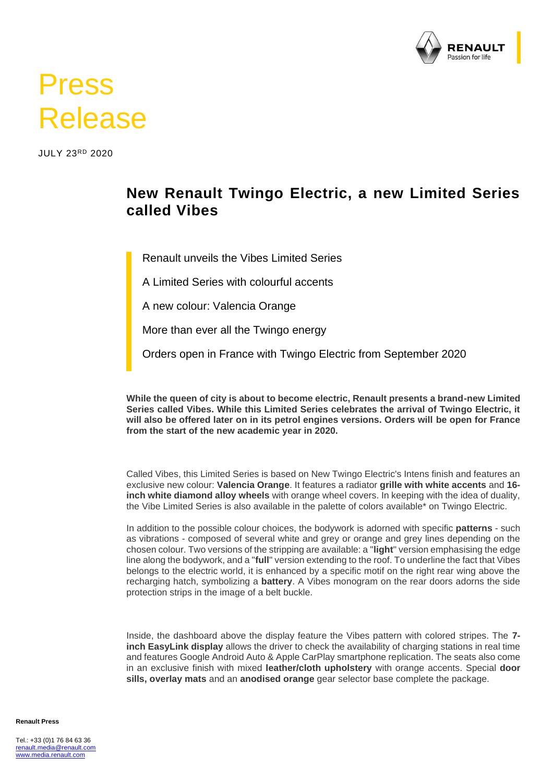

## Press Release

JULY 23RD 2020

## **New Renault Twingo Electric, a new Limited Series called Vibes**

Renault unveils the Vibes Limited Series

A Limited Series with colourful accents

A new colour: Valencia Orange

More than ever all the Twingo energy

Orders open in France with Twingo Electric from September 2020

**While the queen of city is about to become electric, Renault presents a brand-new Limited Series called Vibes. While this Limited Series celebrates the arrival of Twingo Electric, it will also be offered later on in its petrol engines versions. Orders will be open for France from the start of the new academic year in 2020.**

Called Vibes, this Limited Series is based on New Twingo Electric's Intens finish and features an exclusive new colour: **Valencia Orange**. It features a radiator **grille with white accents** and **16 inch white diamond alloy wheels** with orange wheel covers. In keeping with the idea of duality, the Vibe Limited Series is also available in the palette of colors available\* on Twingo Electric.

In addition to the possible colour choices, the bodywork is adorned with specific **patterns** - such as vibrations - composed of several white and grey or orange and grey lines depending on the chosen colour. Two versions of the stripping are available: a "**light**" version emphasising the edge line along the bodywork, and a "**full**" version extending to the roof. To underline the fact that Vibes belongs to the electric world, it is enhanced by a specific motif on the right rear wing above the recharging hatch, symbolizing a **battery**. A Vibes monogram on the rear doors adorns the side protection strips in the image of a belt buckle.

Inside, the dashboard above the display feature the Vibes pattern with colored stripes. The **7 inch EasyLink display** allows the driver to check the availability of charging stations in real time and features Google Android Auto & Apple CarPlay smartphone replication. The seats also come in an exclusive finish with mixed **leather/cloth upholstery** with orange accents. Special **door sills, overlay mats** and an **anodised orange** gear selector base complete the package.

**Renault Press**

Tel.: +33 (0)1 76 84 63 36 [renault.media@renault.com](mailto:renault.media@renault.com) [www.media.renault.com](http://www.media.renault.com/)